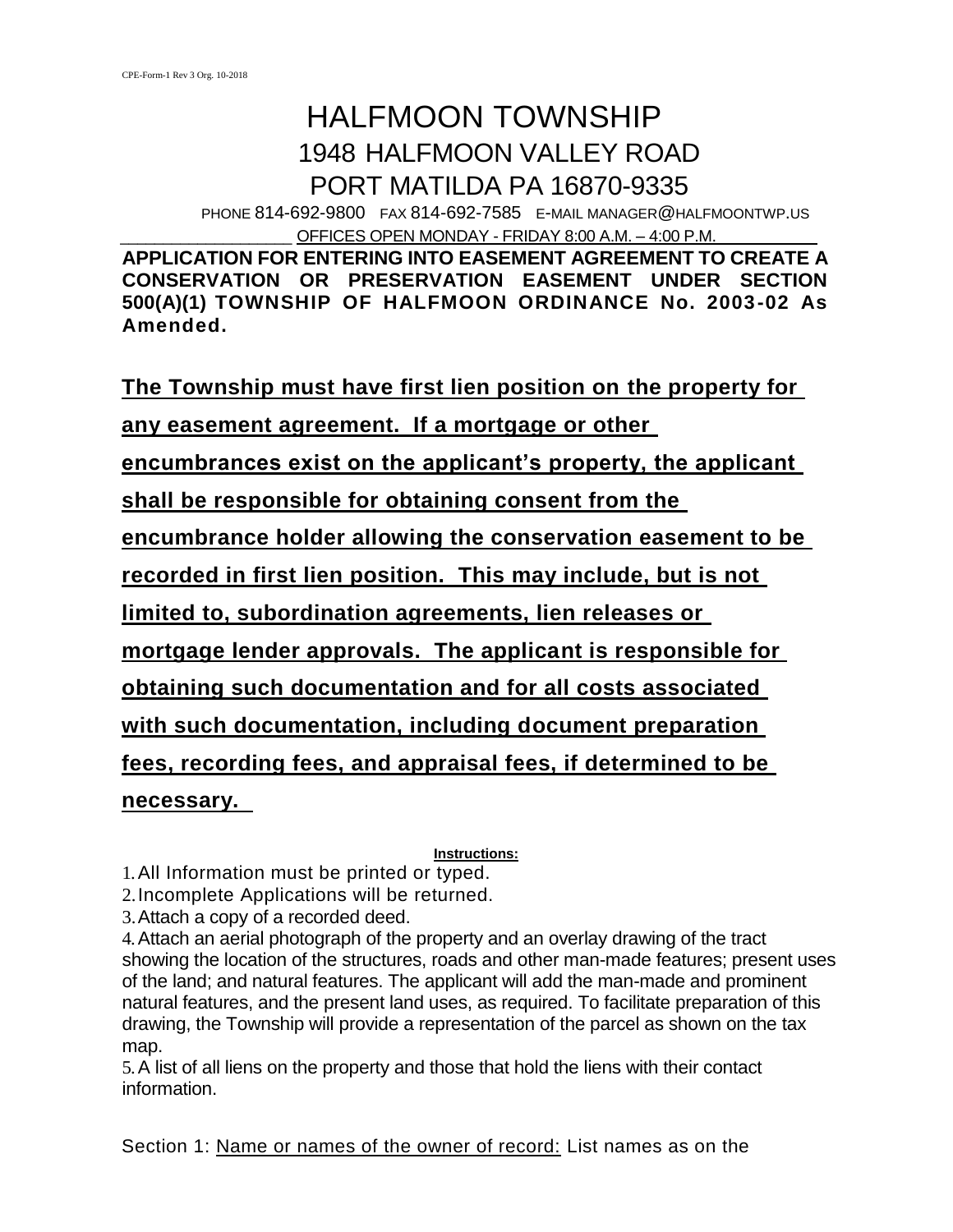# HALFMOON TOWNSHIP 1948 HALFMOON VALLEY ROAD PORT MATILDA PA 16870-9335

PHONE 814-692-9800 FAX 814-692-7585 E-MAIL MANAGER@HALFMOONTWP.US OFFICES OPEN MONDAY - FRIDAY 8:00 A.M. – 4:00 P.M.

**APPLICATION FOR ENTERING INTO EASEMENT AGREEMENT TO CREATE A CONSERVATION OR PRESERVATION EASEMENT UNDER SECTION 500(A)(1) TOWNSHIP OF HALFMOON ORDINANCE No. 2003-02 As Amended.**

**The Township must have first lien position on the property for** 

**any easement agreement. If a mortgage or other** 

**encumbrances exist on the applicant's property, the applicant** 

**shall be responsible for obtaining consent from the** 

**encumbrance holder allowing the conservation easement to be** 

**recorded in first lien position. This may include, but is not** 

**limited to, subordination agreements, lien releases or** 

**mortgage lender approvals. The applicant is responsible for** 

**obtaining such documentation and for all costs associated** 

**with such documentation, including document preparation** 

**fees, recording fees, and appraisal fees, if determined to be** 

**necessary.** 

**Instructions:**

1.All Information must be printed or typed.

2.Incomplete Applications will be returned.

3.Attach a copy of a recorded deed.

4.Attach an aerial photograph of the property and an overlay drawing of the tract showing the location of the structures, roads and other man-made features; present uses of the land; and natural features. The applicant will add the man-made and prominent natural features, and the present land uses, as required. To facilitate preparation of this drawing, the Township will provide a representation of the parcel as shown on the tax map.

5.A list of all liens on the property and those that hold the liens with their contact information.

Section 1: Name or names of the owner of record: List names as on the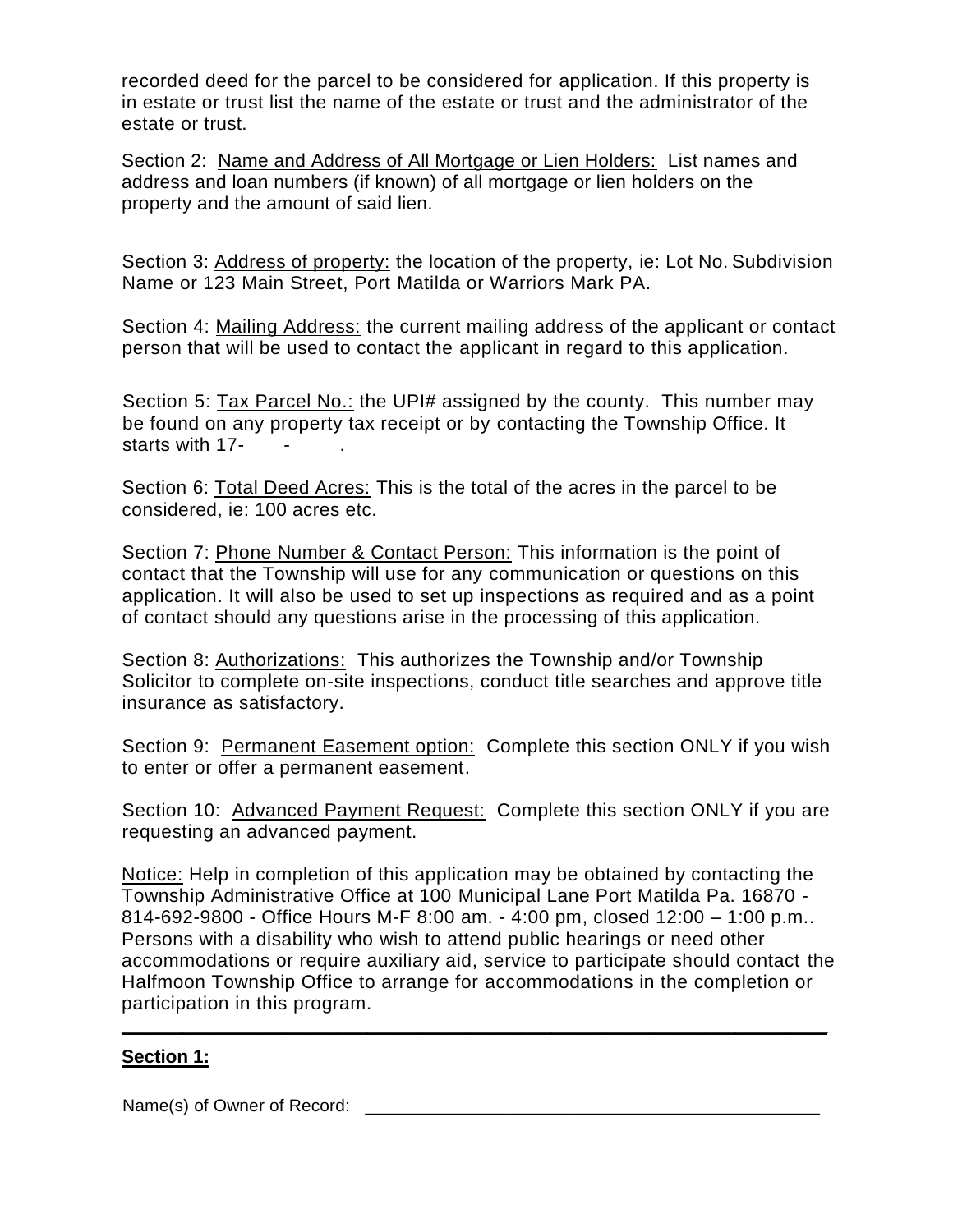recorded deed for the parcel to be considered for application. If this property is in estate or trust list the name of the estate or trust and the administrator of the estate or trust.

Section 2: Name and Address of All Mortgage or Lien Holders: List names and address and loan numbers (if known) of all mortgage or lien holders on the property and the amount of said lien.

Section 3: Address of property: the location of the property, ie: Lot No. Subdivision Name or 123 Main Street, Port Matilda or Warriors Mark PA.

Section 4: Mailing Address: the current mailing address of the applicant or contact person that will be used to contact the applicant in regard to this application.

Section 5: Tax Parcel No.: the UPI# assigned by the county. This number may be found on any property tax receipt or by contacting the Township Office. It starts with 17-

Section 6: Total Deed Acres: This is the total of the acres in the parcel to be considered, ie: 100 acres etc.

Section 7: Phone Number & Contact Person: This information is the point of contact that the Township will use for any communication or questions on this application. It will also be used to set up inspections as required and as a point of contact should any questions arise in the processing of this application.

Section 8: Authorizations: This authorizes the Township and/or Township Solicitor to complete on-site inspections, conduct title searches and approve title insurance as satisfactory.

Section 9: Permanent Easement option: Complete this section ONLY if you wish to enter or offer a permanent easement.

Section 10: Advanced Payment Request: Complete this section ONLY if you are requesting an advanced payment.

Notice: Help in completion of this application may be obtained by contacting the Township Administrative Office at 100 Municipal Lane Port Matilda Pa. 16870 - 814-692-9800 - Office Hours M-F 8:00 am. - 4:00 pm, closed 12:00 – 1:00 p.m.. Persons with a disability who wish to attend public hearings or need other accommodations or require auxiliary aid, service to participate should contact the Halfmoon Township Office to arrange for accommodations in the completion or participation in this program.

**\_\_\_\_\_\_\_\_\_\_\_\_\_\_\_\_\_\_\_\_\_\_\_\_\_\_\_\_\_\_\_\_\_\_\_\_\_\_\_\_\_\_\_\_\_\_\_\_\_\_\_\_\_\_\_\_\_\_\_\_\_\_\_\_\_\_\_\_\_**

## **Section 1:**

Name(s) of Owner of Record: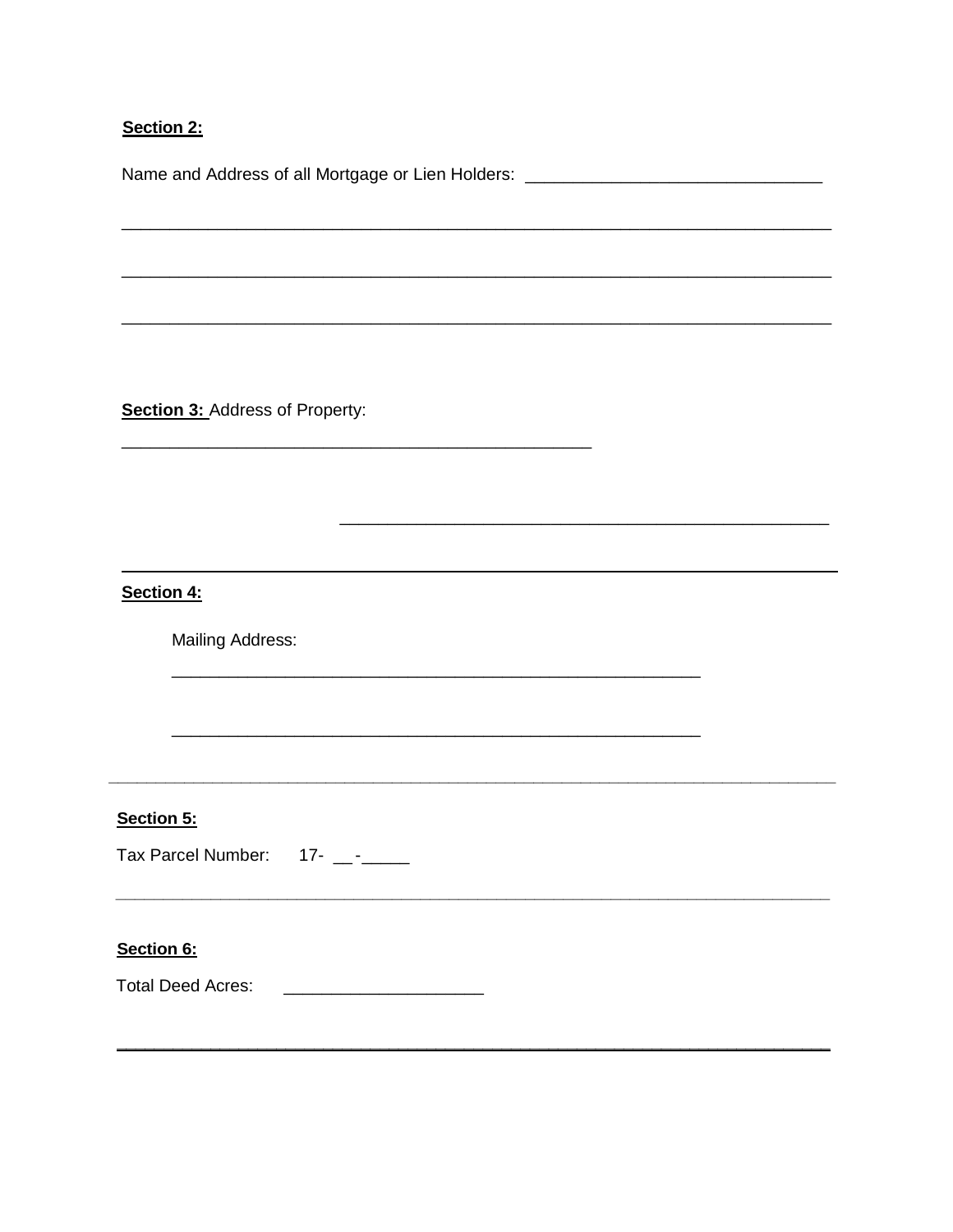# Section 2:

Name and Address of all Mortgage or Lien Holders: \_\_\_\_\_\_\_\_\_\_\_\_\_\_\_\_\_\_\_\_\_\_\_\_\_\_\_\_\_\_

**Section 3: Address of Property:** 

Section 4:

**Mailing Address:** 

Section 5:

Tax Parcel Number: 17- \_-\_\_

#### Section 6: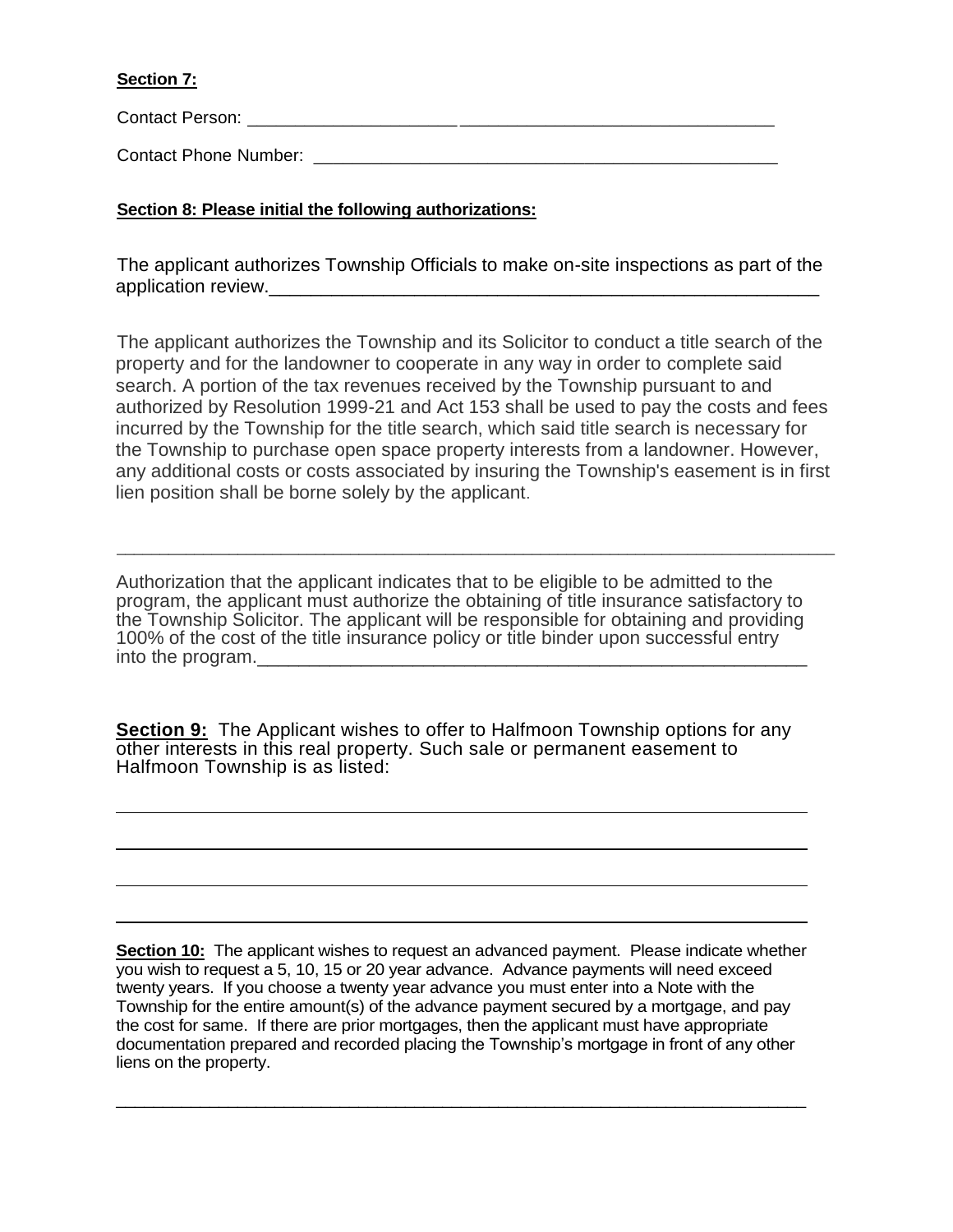## **Section 7:**

 $\overline{a}$ 

 $\overline{a}$ 

 $\overline{a}$ 

 $\overline{a}$ 

Contact Person: \_\_\_\_\_\_\_\_\_\_\_\_\_\_\_\_\_\_\_\_\_\_ \_\_\_\_\_\_\_\_\_\_\_\_\_\_\_\_\_\_\_\_\_\_\_\_\_\_\_\_\_\_\_\_\_

Contact Phone Number: **Example 20** Figure 20 Figure 20 Figure 20 Figure 20 Figure 20 Figure 20 Figure 20 Figure

## **Section 8: Please initial the following authorizations:**

The applicant authorizes Township Officials to make on-site inspections as part of the application review.\_\_\_\_\_\_\_\_\_\_\_\_\_\_\_\_\_\_\_\_\_\_\_\_\_\_\_\_\_\_\_\_\_\_\_\_\_\_\_\_\_\_\_\_\_\_\_\_\_\_\_\_\_

The applicant authorizes the Township and its Solicitor to conduct a title search of the property and for the landowner to cooperate in any way in order to complete said search. A portion of the tax revenues received by the Township pursuant to and authorized by Resolution 1999-21 and Act 153 shall be used to pay the costs and fees incurred by the Township for the title search, which said title search is necessary for the Township to purchase open space property interests from a landowner. However, any additional costs or costs associated by insuring the Township's easement is in first lien position shall be borne solely by the applicant.

\_\_\_\_\_\_\_\_\_\_\_\_\_\_\_\_\_\_\_\_\_\_\_\_\_\_\_\_\_\_\_\_\_\_\_\_\_\_\_\_\_\_\_\_\_\_\_\_\_\_\_\_\_\_\_\_\_\_\_\_\_\_\_\_\_\_\_\_\_\_\_\_\_\_\_\_\_\_\_\_\_\_\_

Authorization that the applicant indicates that to be eligible to be admitted to the program, the applicant must authorize the obtaining of title insurance satisfactory to the Township Solicitor. The applicant will be responsible for obtaining and providing 100% of the cost of the title insurance policy or title binder upon successful entry into the program.

**Section 9:** The Applicant wishes to offer to Halfmoon Township options for any other interests in this real property. Such sale or permanent easement to Halfmoon Township is as listed:

**Section 10:** The applicant wishes to request an advanced payment. Please indicate whether you wish to request a 5, 10, 15 or 20 year advance. Advance payments will need exceed twenty years. If you choose a twenty year advance you must enter into a Note with the Township for the entire amount(s) of the advance payment secured by a mortgage, and pay the cost for same. If there are prior mortgages, then the applicant must have appropriate documentation prepared and recorded placing the Township's mortgage in front of any other liens on the property.

\_\_\_\_\_\_\_\_\_\_\_\_\_\_\_\_\_\_\_\_\_\_\_\_\_\_\_\_\_\_\_\_\_\_\_\_\_\_\_\_\_\_\_\_\_\_\_\_\_\_\_\_\_\_\_\_\_\_\_\_\_\_\_\_\_\_\_\_\_\_\_\_\_\_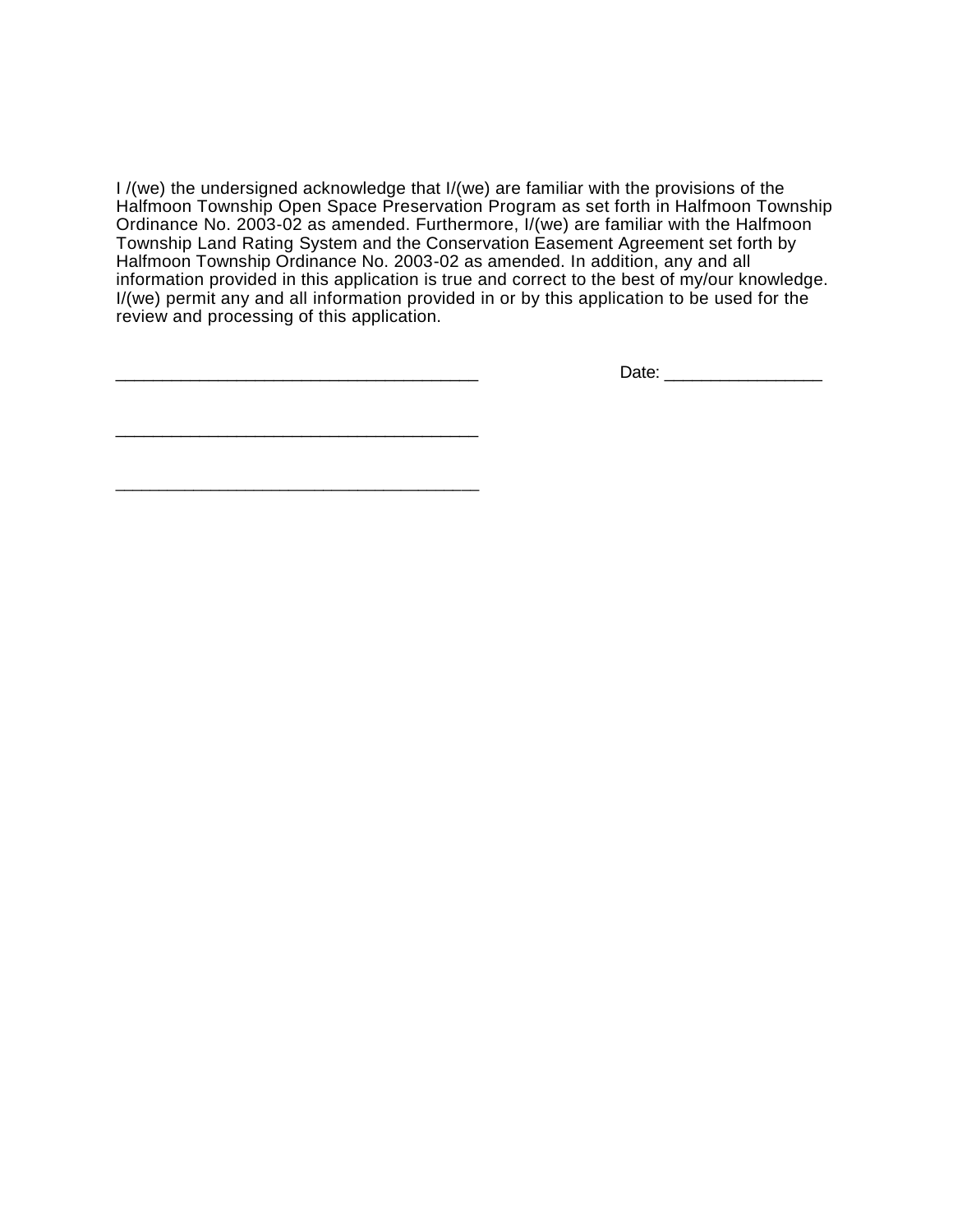I /(we) the undersigned acknowledge that I/(we) are familiar with the provisions of the Halfmoon Township Open Space Preservation Program as set forth in Halfmoon Township Ordinance No. 2003-02 as amended. Furthermore, I/(we) are familiar with the Halfmoon Township Land Rating System and the Conservation Easement Agreement set forth by Halfmoon Township Ordinance No. 2003-02 as amended. In addition, any and all information provided in this application is true and correct to the best of my/our knowledge. I/(we) permit any and all information provided in or by this application to be used for the review and processing of this application.

Date:  $\Box$ 

\_\_\_\_\_\_\_\_\_\_\_\_\_\_\_\_\_\_\_\_\_\_\_\_\_\_\_\_\_\_\_\_\_\_\_\_\_\_\_

\_\_\_\_\_\_\_\_\_\_\_\_\_\_\_\_\_\_\_\_\_\_\_\_\_\_\_\_\_\_\_\_\_\_\_\_\_\_\_\_\_\_